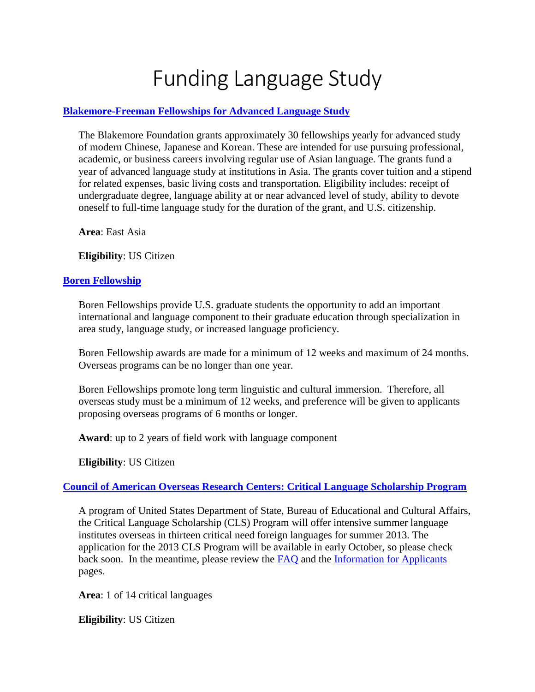# Funding Language Study

# **[Blakemore-Freeman Fellowships for Advanced Language Study](http://www.blakemorefoundation.org/)**

The Blakemore Foundation grants approximately 30 fellowships yearly for advanced study of modern Chinese, Japanese and Korean. These are intended for use pursuing professional, academic, or business careers involving regular use of Asian language. The grants fund a year of advanced language study at institutions in Asia. The grants cover tuition and a stipend for related expenses, basic living costs and transportation. Eligibility includes: receipt of undergraduate degree, language ability at or near advanced level of study, ability to devote oneself to full-time language study for the duration of the grant, and U.S. citizenship.

**Area**: East Asia

**Eligibility**: US Citizen

#### **[Boren Fellowship](http://www.borenawards.org/boren_fellowship/basics.html)**

Boren Fellowships provide U.S. graduate students the opportunity to add an important international and language component to their graduate education through specialization in area study, language study, or increased language proficiency.

Boren Fellowship awards are made for a minimum of 12 weeks and maximum of 24 months. Overseas programs can be no longer than one year.

Boren Fellowships promote long term linguistic and cultural immersion. Therefore, all overseas study must be a minimum of 12 weeks, and preference will be given to applicants proposing overseas programs of 6 months or longer.

**Award**: up to 2 years of field work with language component

**Eligibility**: US Citizen

#### **[Council of American Overseas Research Centers: Critical Language Scholarship Program](http://www.clscholarship.org/index.html)**

A program of United States Department of State, Bureau of Educational and Cultural Affairs, the Critical Language Scholarship (CLS) Program will offer intensive summer language institutes overseas in thirteen critical need foreign languages for summer 2013. The application for the 2013 CLS Program will be available in early October, so please check back soon. In the meantime, please review the [FAQ](http://www.clscholarship.org/faq.htm) and the [Information for Applicants](http://www.clscholarship.org/applicants.htm) pages.

**Area**: 1 of 14 critical languages

**Eligibility**: US Citizen